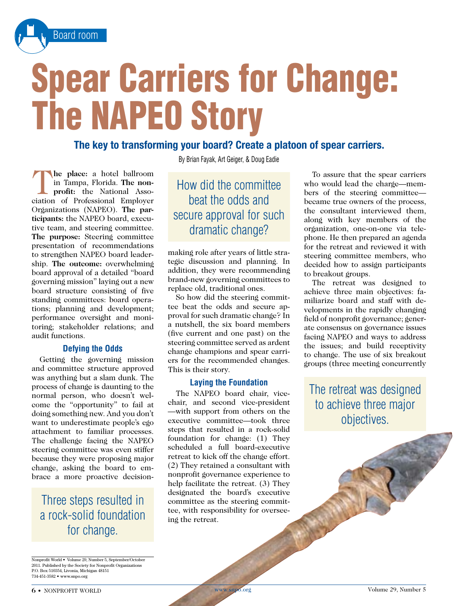

# Spear Carriers for Change: The NAPEO Story

## **The key to transforming your board? Create a platoon of spear carriers.**

T**he place:** a hotel ballroom in Tampa, Florida. **The nonprofit:** the National Association of Professional Employer Organizations (NAPEO). **The participants:** the NAPEO board, executive team, and steering committee. **The purpose:** Steering committee presentation of recommendations to strengthen NAPEO board leadership. **The outcome:** overwhelming board approval of a detailed "board governing mission" laying out a new board structure consisting of five standing committees: board operations; planning and development; performance oversight and monitoring; stakeholder relations; and audit functions.

#### **Defying the Odds**

Getting the governing mission and committee structure approved was anything but a slam dunk. The process of change is daunting to the normal person, who doesn't welcome the "opportunity" to fail at doing something new. And you don't want to underestimate people's ego attachment to familiar processes. The challenge facing the NAPEO steering committee was even stiffer because they were proposing major change, asking the board to embrace a more proactive decision-

Three steps resulted in a rock-solid foundation for change.

By Brian Fayak, Art Geiger, & Doug Eadie

## How did the committee beat the odds and secure approval for such dramatic change?

making role after years of little strategic discussion and planning. In addition, they were recommending brand-new governing committees to replace old, traditional ones.

So how did the steering committee beat the odds and secure approval for such dramatic change? In a nutshell, the six board members (five current and one past) on the steering committee served as ardent change champions and spear carriers for the recommended changes. This is their story.

#### **Laying the Foundation**

The NAPEO board chair, vicechair, and second vice-president —with support from others on the executive committee—took three steps that resulted in a rock-solid foundation for change: (1) They scheduled a full board-executive retreat to kick off the change effort. (2) They retained a consultant with nonprofit governance experience to help facilitate the retreat. (3) They designated the board's executive committee as the steering committee, with responsibility for overseeing the retreat.

To assure that the spear carriers who would lead the charge—members of the steering committee became true owners of the process, the consultant interviewed them, along with key members of the organization, one-on-one via telephone. He then prepared an agenda for the retreat and reviewed it with steering committee members, who decided how to assign participants to breakout groups.

The retreat was designed to achieve three main objectives: familiarize board and staff with developments in the rapidly changing field of nonprofit governance; generate consensus on governance issues facing NAPEO and ways to address the issues; and build receptivity to change. The use of six breakout groups (three meeting concurrently

The retreat was designed to achieve three major objectives.

Nonprofit World • Volume 29, Number 5, September/October 2011. Published by the Society for Nonprofit Organizations P.O. Box 510354, Livonia, Michigan 48151 734-451-3582 • www.snpo.org